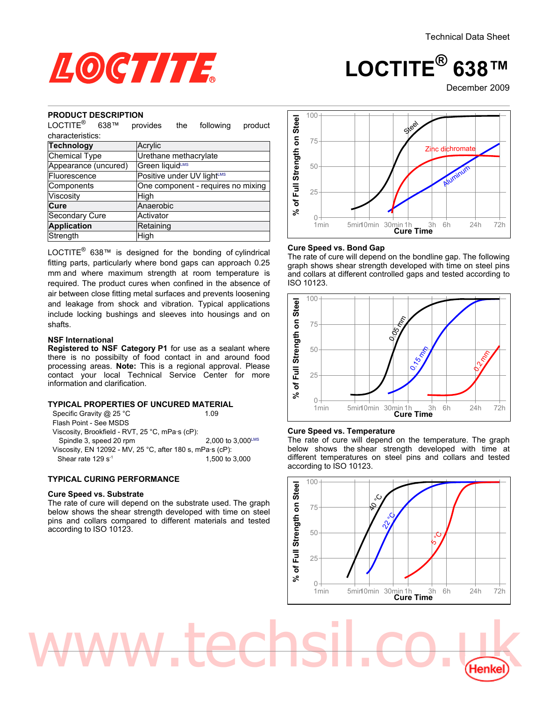

# **LOCTITE® 638™**

December<sub>2009</sub>

#### **PRODUCT DESCRIPTION**

| UDUUT DEJ<br>טור ו וטוז                                                                                                                                                                                                                                                                                                                                                                                                                                                                                                                                                                                                                                                                                |                            |     |                                     |         |                                                         |
|--------------------------------------------------------------------------------------------------------------------------------------------------------------------------------------------------------------------------------------------------------------------------------------------------------------------------------------------------------------------------------------------------------------------------------------------------------------------------------------------------------------------------------------------------------------------------------------------------------------------------------------------------------------------------------------------------------|----------------------------|-----|-------------------------------------|---------|---------------------------------------------------------|
| LOCTITE <sup>®</sup><br>638™                                                                                                                                                                                                                                                                                                                                                                                                                                                                                                                                                                                                                                                                           | provides                   | the | following                           | product | % of Full Strength on Stee                              |
| characteristics:                                                                                                                                                                                                                                                                                                                                                                                                                                                                                                                                                                                                                                                                                       |                            |     |                                     |         |                                                         |
| <b>Technology</b>                                                                                                                                                                                                                                                                                                                                                                                                                                                                                                                                                                                                                                                                                      | Acrylic                    |     |                                     |         |                                                         |
| <b>Chemical Type</b>                                                                                                                                                                                                                                                                                                                                                                                                                                                                                                                                                                                                                                                                                   | Urethane methacrylate      |     |                                     |         |                                                         |
| Appearance (uncured)                                                                                                                                                                                                                                                                                                                                                                                                                                                                                                                                                                                                                                                                                   | Green liquidLMS            |     |                                     |         |                                                         |
| Fluorescence                                                                                                                                                                                                                                                                                                                                                                                                                                                                                                                                                                                                                                                                                           | Positive under UV lightLMS |     |                                     |         |                                                         |
| Components                                                                                                                                                                                                                                                                                                                                                                                                                                                                                                                                                                                                                                                                                             |                            |     | One component - requires no mixing  |         |                                                         |
| Viscosity                                                                                                                                                                                                                                                                                                                                                                                                                                                                                                                                                                                                                                                                                              | High                       |     |                                     |         |                                                         |
| Cure                                                                                                                                                                                                                                                                                                                                                                                                                                                                                                                                                                                                                                                                                                   | Anaerobic                  |     |                                     |         |                                                         |
| Secondary Cure                                                                                                                                                                                                                                                                                                                                                                                                                                                                                                                                                                                                                                                                                         | Activator                  |     |                                     |         |                                                         |
| <b>Application</b>                                                                                                                                                                                                                                                                                                                                                                                                                                                                                                                                                                                                                                                                                     | Retaining                  |     |                                     |         |                                                         |
| Strength                                                                                                                                                                                                                                                                                                                                                                                                                                                                                                                                                                                                                                                                                               | High                       |     |                                     |         |                                                         |
| fitting parts, particularly where bond gaps can approach 0.25<br>mm and where maximum strength at room temperature is<br>required. The product cures when confined in the absence of<br>air between close fitting metal surfaces and prevents loosening<br>and leakage from shock and vibration. Typical applications<br>include locking bushings and sleeves into housings and on<br>shafts.<br><b>NSF International</b><br>Registered to NSF Category P1 for use as a sealant where<br>there is no possibilty of food contact in and around food<br>processing areas. Note: This is a regional approval. Please<br>contact your local Technical Service Center for<br>information and clarification. |                            |     |                                     | more    | gra<br>and<br><b>ISO</b><br>% of Full Strength on Steel |
| TYPICAL PROPERTIES OF UNCURED MATERIAL<br>Specific Gravity @ 25 °C                                                                                                                                                                                                                                                                                                                                                                                                                                                                                                                                                                                                                                     |                            |     | 1.09                                |         |                                                         |
| Flash Point - See MSDS<br>Viscosity, Brookfield - RVT, 25 °C, mPa·s (cP):<br>Spindle 3, speed 20 rpm<br>Viscosity, EN 12092 - MV, 25 °C, after 180 s, mPa·s (cP):<br>Shear rate 129 s <sup>-1</sup>                                                                                                                                                                                                                                                                                                                                                                                                                                                                                                    |                            |     | 2,000 to 3,000LMS<br>1,500 to 3,000 |         | Cur<br>The<br>belo<br>diffe<br>acc                      |
| <b>TYPICAL CURING PERFORMANCE</b>                                                                                                                                                                                                                                                                                                                                                                                                                                                                                                                                                                                                                                                                      |                            |     |                                     |         |                                                         |
| <b>Cure Speed vs. Substrate</b><br>The rate of cure will depend on the substrate used. The graph<br>below shows the shear strength developed with time on steel<br>pins and collars compared to different materials and tested<br>according to ISO 10123.                                                                                                                                                                                                                                                                                                                                                                                                                                              |                            |     |                                     |         | ingth on Steel                                          |

### **NSF International**

### **TYPICAL PROPERTIES OF UNCURED MATERIAL**

| 2,000 to 3,000LMS |
|-------------------|
|                   |
|                   |
|                   |

## **TYPICAL CURING PERFORMANCE**

#### **Cure Speed vs. Substrate**



### **Cure Speed vs. Bond Gap**

The rate of cure will depend on the bondline gap. The following graph shows shear strength developed with time on steel pins and collars at different controlled gaps and tested according to ISO 10123.



#### **Cure Speed vs. Temperature**

www.techsil.co.uk

The rate of cure will depend on the temperature. The graph below shows the shear strength developed with time at different temperatures on steel pins and collars and tested according to ISO 10123.

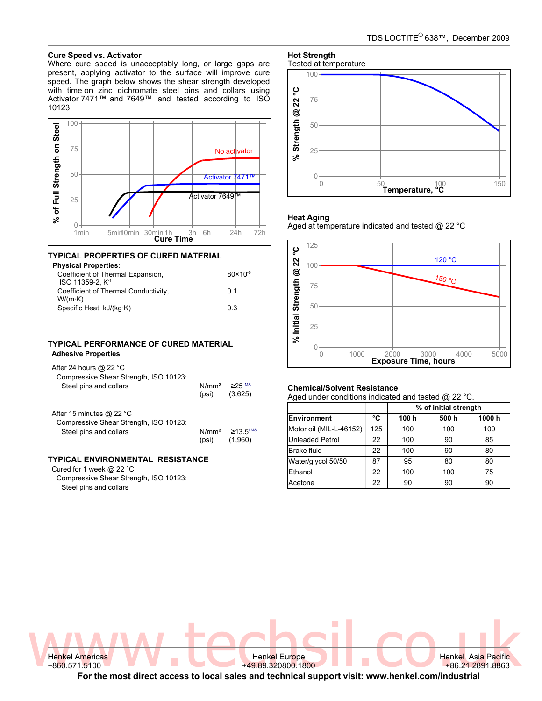#### **Cure Speed vs. Activator**

Where cure speed is unacceptably long, or large gaps are present, applying activator to the surface will improve cure speed. The graph below shows the shear strength developed with time on zinc dichromate steel pins and collars using Activator 7471™ and 7649™ and tested according to ISO 10123.



#### **TYPICAL PROPERTIES OF CURED MATERIAL Physical Properties**:

| Physical Properties:<br>Coefficient of Thermal Expansion,                               | $80 \times 10^{-6}$ |
|-----------------------------------------------------------------------------------------|---------------------|
| ISO 11359-2. K <sup>-1</sup><br>Coefficient of Thermal Conductivity,<br>$W/(m \cdot K)$ | 0 1                 |
| Specific Heat, kJ/(kg·K)                                                                | 03                  |

## **TYPICAL PERFORMANCE OF CURED MATERIAL Adhesive Properties**

| After 24 hours $@$ 22 °C<br>Compressive Shear Strength, ISO 10123:<br>Steel pins and collars           | N/mm <sup>2</sup><br>(psi) | $\geq$ 25 LMS<br>(3,625)  |
|--------------------------------------------------------------------------------------------------------|----------------------------|---------------------------|
| After 15 minutes @ 22 $^{\circ}$ C<br>Compressive Shear Strength, ISO 10123:<br>Steel pins and collars | N/mm <sup>2</sup><br>(psi) | $\geq$ 13.5LMS<br>(1.960) |

## **TYPICAL ENVIRONMENTAL RESISTANCE**

Cured for 1 week @ 22 °C Compressive Shear Strength, ISO 10123: Steel pins and collars

#### **Hot Strength** Tested at temperature



#### **Heat Aging**

Aged at temperature indicated and tested @ 22 °C



#### **Chemical/Solvent Resistance**

Aged under conditions indicated and tested @ 22 °C.

|                         |     | % of initial strength |      |       |  |
|-------------------------|-----|-----------------------|------|-------|--|
| Environment             | °C  | 100h                  | 500h | 1000h |  |
| Motor oil (MIL-L-46152) | 125 | 100                   | 100  | 100   |  |
| Unleaded Petrol         | 22  | 100                   | 90   | 85    |  |
| <b>Brake fluid</b>      | 22  | 100                   | 90   | 80    |  |
| Water/glycol 50/50      | 87  | 95                    | 80   | 80    |  |
| Ethanol                 | 22  | 100                   | 100  | 75    |  |
| Acetone                 | 22  | 90                    | 90   | 90    |  |

Henkel Asia Pacific +86.21.2891.8863

Wenkel Americas W  $\blacksquare$  CO Henkel Asia Pacific Henkel Americas +860.571.5100

+49.89.320800.1800 **For the most direct access to local sales and technical support visit: www.henkel.com/industrial**

Henkel Europe